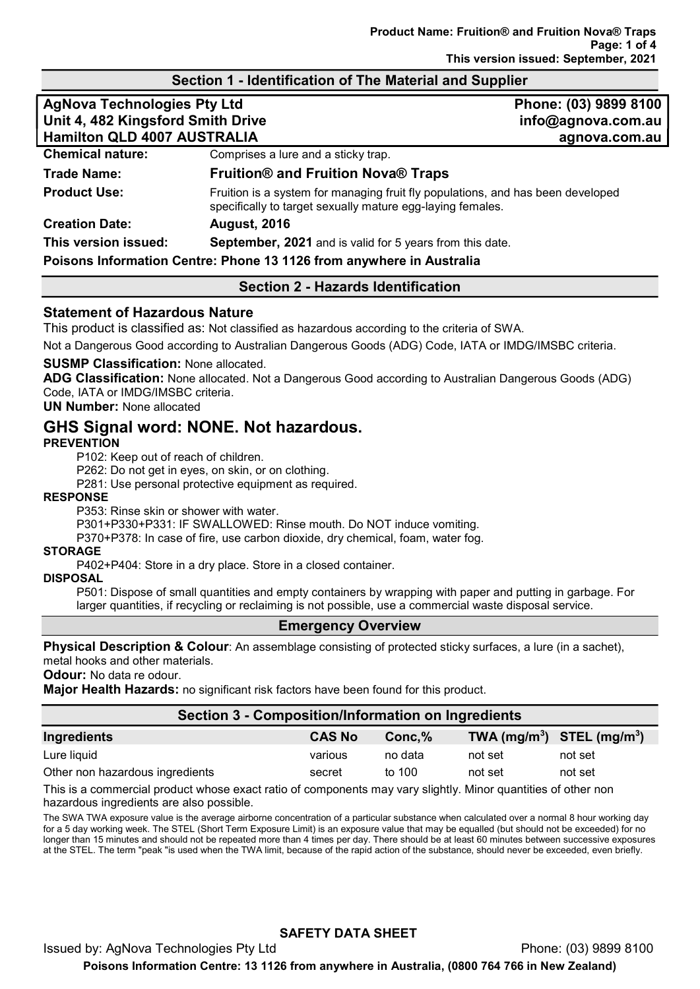## Section 1 - Identification of The Material and Supplier

| <b>AgNova Technologies Pty Ltd</b><br>Unit 4, 482 Kingsford Smith Drive<br>Hamilton QLD 4007 AUSTRALIA |                                                                                                                                               | Phone: (03) 9899 8100<br>info@agnova.com.au<br>agnova.com.au |  |
|--------------------------------------------------------------------------------------------------------|-----------------------------------------------------------------------------------------------------------------------------------------------|--------------------------------------------------------------|--|
| <b>Chemical nature:</b>                                                                                | Comprises a lure and a sticky trap.                                                                                                           |                                                              |  |
| <b>Trade Name:</b>                                                                                     | <b>Fruition® and Fruition Nova® Traps</b>                                                                                                     |                                                              |  |
| <b>Product Use:</b>                                                                                    | Fruition is a system for managing fruit fly populations, and has been developed<br>specifically to target sexually mature egg-laying females. |                                                              |  |
| <b>Creation Date:</b>                                                                                  | <b>August, 2016</b>                                                                                                                           |                                                              |  |
| This version issued:                                                                                   | <b>September, 2021</b> and is valid for 5 years from this date.                                                                               |                                                              |  |
| Poisons Information Centre: Phone 13 1126 from anywhere in Australia                                   |                                                                                                                                               |                                                              |  |

#### Section 2 - Hazards Identification

#### Statement of Hazardous Nature

This product is classified as: Not classified as hazardous according to the criteria of SWA.

Not a Dangerous Good according to Australian Dangerous Goods (ADG) Code, IATA or IMDG/IMSBC criteria.

#### SUSMP Classification: None allocated.

ADG Classification: None allocated. Not a Dangerous Good according to Australian Dangerous Goods (ADG) Code, IATA or IMDG/IMSBC criteria.

UN Number: None allocated

# GHS Signal word: NONE. Not hazardous.

#### **PREVENTION**

P102: Keep out of reach of children.

P262: Do not get in eyes, on skin, or on clothing.

P281: Use personal protective equipment as required.

#### RESPONSE

P353: Rinse skin or shower with water.

P301+P330+P331: IF SWALLOWED: Rinse mouth. Do NOT induce vomiting.

P370+P378: In case of fire, use carbon dioxide, dry chemical, foam, water fog.

#### STORAGE

P402+P404: Store in a dry place. Store in a closed container.

#### DISPOSAL

P501: Dispose of small quantities and empty containers by wrapping with paper and putting in garbage. For larger quantities, if recycling or reclaiming is not possible, use a commercial waste disposal service.

#### Emergency Overview

Physical Description & Colour: An assemblage consisting of protected sticky surfaces, a lure (in a sachet), metal hooks and other materials.

Odour: No data re odour.

**Major Health Hazards:** no significant risk factors have been found for this product.

#### Section 3 - Composition/Information on Ingredients

| Ingredients                     | <b>CAS No</b> | $Conc.\%$ | TWA $(mg/m^3)$ STEL $(mg/m^3)$ |         |
|---------------------------------|---------------|-----------|--------------------------------|---------|
| Lure liquid                     | various       | no data   | not set                        | not set |
| Other non hazardous ingredients | secret        | to 100    | not set                        | not set |

This is a commercial product whose exact ratio of components may vary slightly. Minor quantities of other non hazardous ingredients are also possible.

The SWA TWA exposure value is the average airborne concentration of a particular substance when calculated over a normal 8 hour working day for a 5 day working week. The STEL (Short Term Exposure Limit) is an exposure value that may be equalled (but should not be exceeded) for no longer than 15 minutes and should not be repeated more than 4 times per day. There should be at least 60 minutes between successive exposures at the STEL. The term "peak "is used when the TWA limit, because of the rapid action of the substance, should never be exceeded, even briefly.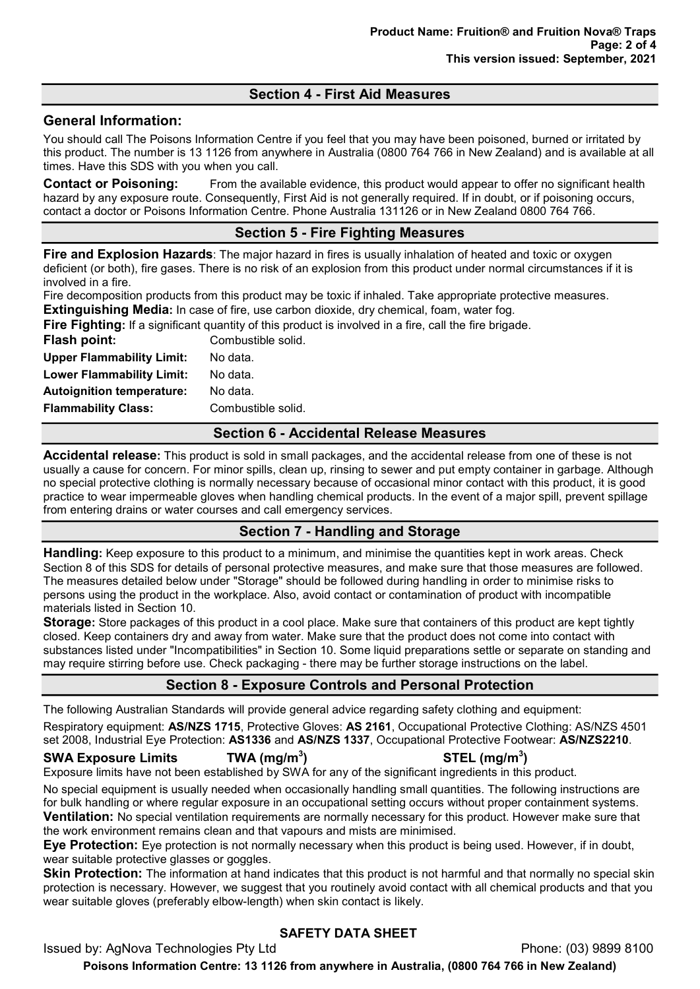# Section 4 - First Aid Measures

## General Information:

You should call The Poisons Information Centre if you feel that you may have been poisoned, burned or irritated by this product. The number is 13 1126 from anywhere in Australia (0800 764 766 in New Zealand) and is available at all times. Have this SDS with you when you call.

**Contact or Poisoning:** From the available evidence, this product would appear to offer no significant health hazard by any exposure route. Consequently, First Aid is not generally required. If in doubt, or if poisoning occurs, contact a doctor or Poisons Information Centre. Phone Australia 131126 or in New Zealand 0800 764 766.

# Section 5 - Fire Fighting Measures

Fire and Explosion Hazards: The major hazard in fires is usually inhalation of heated and toxic or oxygen deficient (or both), fire gases. There is no risk of an explosion from this product under normal circumstances if it is involved in a fire.

Fire decomposition products from this product may be toxic if inhaled. Take appropriate protective measures. **Extinguishing Media:** In case of fire, use carbon dioxide, dry chemical, foam, water fog.

| <b>Fire Fighting:</b> If a significant quantity of this product is involved in a fire, call the fire brigade. |                    |  |  |
|---------------------------------------------------------------------------------------------------------------|--------------------|--|--|
| Flash point:                                                                                                  | Combustible solid. |  |  |
| <b>Upper Flammability Limit:</b>                                                                              | No data.           |  |  |
| <b>Lower Flammability Limit:</b>                                                                              | No data.           |  |  |
| <b>Autoignition temperature:</b>                                                                              | No data.           |  |  |
| <b>Flammability Class:</b>                                                                                    | Combustible solid. |  |  |

### Section 6 - Accidental Release Measures

Accidental release: This product is sold in small packages, and the accidental release from one of these is not usually a cause for concern. For minor spills, clean up, rinsing to sewer and put empty container in garbage. Although no special protective clothing is normally necessary because of occasional minor contact with this product, it is good practice to wear impermeable gloves when handling chemical products. In the event of a major spill, prevent spillage from entering drains or water courses and call emergency services.

## Section 7 - Handling and Storage

**Handling:** Keep exposure to this product to a minimum, and minimise the quantities kept in work areas. Check Section 8 of this SDS for details of personal protective measures, and make sure that those measures are followed. The measures detailed below under "Storage" should be followed during handling in order to minimise risks to persons using the product in the workplace. Also, avoid contact or contamination of product with incompatible materials listed in Section 10.

Storage: Store packages of this product in a cool place. Make sure that containers of this product are kept tightly closed. Keep containers dry and away from water. Make sure that the product does not come into contact with substances listed under "Incompatibilities" in Section 10. Some liquid preparations settle or separate on standing and may require stirring before use. Check packaging - there may be further storage instructions on the label.

# Section 8 - Exposure Controls and Personal Protection

The following Australian Standards will provide general advice regarding safety clothing and equipment:

Respiratory equipment: AS/NZS 1715, Protective Gloves: AS 2161, Occupational Protective Clothing: AS/NZS 4501 set 2008, Industrial Eye Protection: AS1336 and AS/NZS 1337, Occupational Protective Footwear: AS/NZS2210.

## SWA Exposure Limits  $TWA (mg/m<sup>3</sup>)$

 $\mathsf{STEL}\;(\mathsf{mg/m^3})$ 

Exposure limits have not been established by SWA for any of the significant ingredients in this product.

No special equipment is usually needed when occasionally handling small quantities. The following instructions are for bulk handling or where regular exposure in an occupational setting occurs without proper containment systems. **Ventilation:** No special ventilation requirements are normally necessary for this product. However make sure that the work environment remains clean and that vapours and mists are minimised.

Eye Protection: Eye protection is not normally necessary when this product is being used. However, if in doubt, wear suitable protective glasses or goggles.

Skin Protection: The information at hand indicates that this product is not harmful and that normally no special skin protection is necessary. However, we suggest that you routinely avoid contact with all chemical products and that you wear suitable gloves (preferably elbow-length) when skin contact is likely.

# SAFETY DATA SHEET

Issued by: AgNova Technologies Pty Ltd **Phone: (03) 9899 8100** Phone: (03) 9899 8100

Poisons Information Centre: 13 1126 from anywhere in Australia, (0800 764 766 in New Zealand)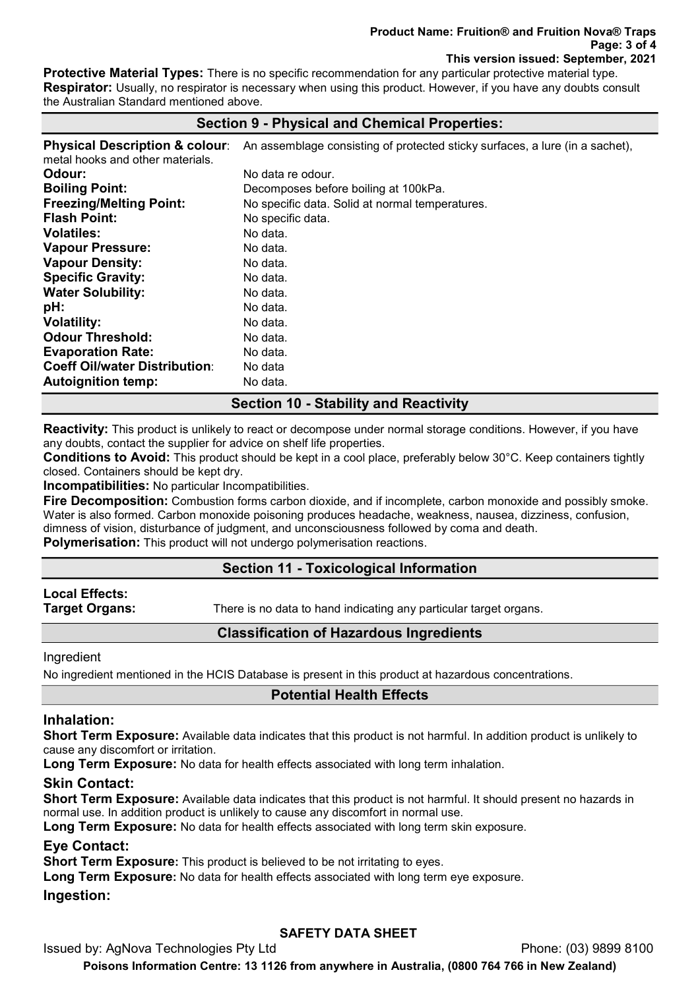Protective Material Types: There is no specific recommendation for any particular protective material type. **Respirator:** Usually, no respirator is necessary when using this product. However, if you have any doubts consult the Australian Standard mentioned above.

# Section 9 - Physical and Chemical Properties:

Physical Description & colour: An assemblage consisting of protected sticky surfaces, a lure (in a sachet), metal hooks and other materials. **Odour:** No data re odour. Boiling Point: Decomposes before boiling at 100kPa. **Freezing/Melting Point:** No specific data. Solid at normal temperatures. **Flash Point:** No specific data. **Volatiles:** No data. Vapour Pressure: No data. Vapour Density: No data. Specific Gravity: No data. Water Solubility: No data. **pH:** No data. Volatility: No data. **Odour Threshold:** No data. **Evaporation Rate:** No data. Coeff Oil/water Distribution: No data **Autoignition temp:** No data.

# Section 10 - Stability and Reactivity

Reactivity: This product is unlikely to react or decompose under normal storage conditions. However, if you have any doubts, contact the supplier for advice on shelf life properties.

Conditions to Avoid: This product should be kept in a cool place, preferably below 30°C. Keep containers tightly closed. Containers should be kept dry.

Incompatibilities: No particular Incompatibilities.

Fire Decomposition: Combustion forms carbon dioxide, and if incomplete, carbon monoxide and possibly smoke. Water is also formed. Carbon monoxide poisoning produces headache, weakness, nausea, dizziness, confusion, dimness of vision, disturbance of judgment, and unconsciousness followed by coma and death.

**Polymerisation:** This product will not undergo polymerisation reactions.

## Section 11 - Toxicological Information

# Local Effects:

**Target Organs:** There is no data to hand indicating any particular target organs.

## Classification of Hazardous Ingredients

Ingredient

No ingredient mentioned in the HCIS Database is present in this product at hazardous concentrations.

# Potential Health Effects

# Inhalation:

Short Term Exposure: Available data indicates that this product is not harmful. In addition product is unlikely to cause any discomfort or irritation.

Long Term Exposure: No data for health effects associated with long term inhalation.

## Skin Contact:

Short Term Exposure: Available data indicates that this product is not harmful. It should present no hazards in normal use. In addition product is unlikely to cause any discomfort in normal use.

Long Term Exposure: No data for health effects associated with long term skin exposure.

## Eye Contact:

Short Term Exposure: This product is believed to be not irritating to eyes.

Long Term Exposure: No data for health effects associated with long term eye exposure.

#### Ingestion:

# SAFETY DATA SHEET

Issued by: AgNova Technologies Pty Ltd **Phone: (03) 9899 8100** Phone: (03) 9899 8100

Poisons Information Centre: 13 1126 from anywhere in Australia, (0800 764 766 in New Zealand)